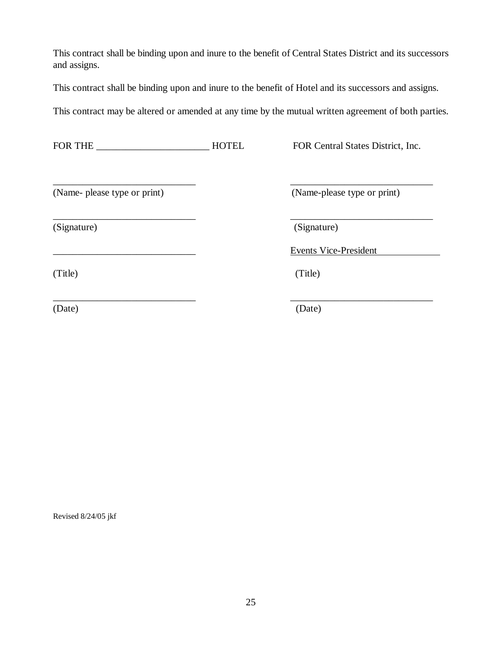This contract shall be binding upon and inure to the benefit of Central States District and its successors and assigns.

This contract shall be binding upon and inure to the benefit of Hotel and its successors and assigns.

\_\_\_\_\_\_\_\_\_\_\_\_\_\_\_\_\_\_\_\_\_\_\_\_\_\_\_\_\_ \_\_\_\_\_\_\_\_\_\_\_\_\_\_\_\_\_\_\_\_\_\_\_\_\_\_\_\_\_

This contract may be altered or amended at any time by the mutual written agreement of both parties.

FOR THE \_\_\_\_\_\_\_\_\_\_\_\_\_\_\_\_\_\_\_\_\_\_\_\_\_\_\_\_\_HOTEL FOR Central States District, Inc.

(Name- please type or print) (Name-please type or print)

(Signature) (Signature)

\_\_\_\_\_\_\_\_\_\_\_\_\_\_\_\_\_\_\_\_\_\_\_\_\_\_\_\_\_ \_\_\_\_\_\_\_\_\_\_\_\_\_\_\_\_\_\_\_\_\_\_\_\_\_\_\_\_\_

\_\_\_\_\_\_\_\_\_\_\_\_\_\_\_\_\_\_\_\_\_\_\_\_\_\_\_\_\_ Events Vice-President

(Title) (Title)

\_\_\_\_\_\_\_\_\_\_\_\_\_\_\_\_\_\_\_\_\_\_\_\_\_\_\_\_\_ \_\_\_\_\_\_\_\_\_\_\_\_\_\_\_\_\_\_\_\_\_\_\_\_\_\_\_\_\_

(Date) (Date)

Revised 8/24/05 jkf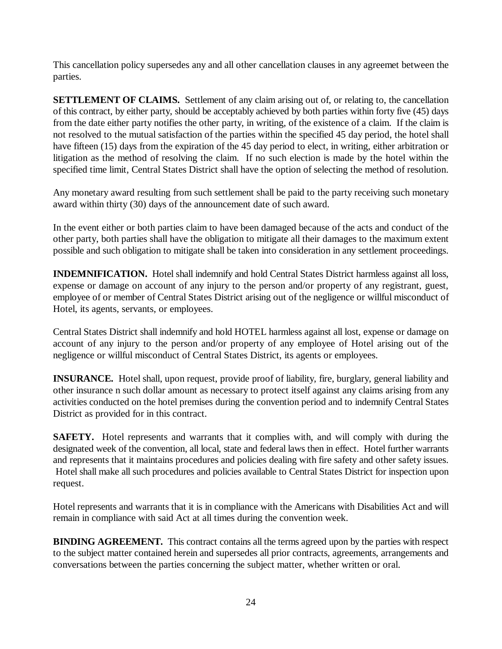This cancellation policy supersedes any and all other cancellation clauses in any agreemet between the parties.

**SETTLEMENT OF CLAIMS.** Settlement of any claim arising out of, or relating to, the cancellation of this contract, by either party, should be acceptably achieved by both parties within forty five (45) days from the date either party notifies the other party, in writing, of the existence of a claim. If the claim is not resolved to the mutual satisfaction of the parties within the specified 45 day period, the hotel shall have fifteen (15) days from the expiration of the 45 day period to elect, in writing, either arbitration or litigation as the method of resolving the claim. If no such election is made by the hotel within the specified time limit, Central States District shall have the option of selecting the method of resolution.

Any monetary award resulting from such settlement shall be paid to the party receiving such monetary award within thirty (30) days of the announcement date of such award.

In the event either or both parties claim to have been damaged because of the acts and conduct of the other party, both parties shall have the obligation to mitigate all their damages to the maximum extent possible and such obligation to mitigate shall be taken into consideration in any settlement proceedings.

**INDEMNIFICATION.** Hotel shall indemnify and hold Central States District harmless against all loss, expense or damage on account of any injury to the person and/or property of any registrant, guest, employee of or member of Central States District arising out of the negligence or willful misconduct of Hotel, its agents, servants, or employees.

Central States District shall indemnify and hold HOTEL harmless against all lost, expense or damage on account of any injury to the person and/or property of any employee of Hotel arising out of the negligence or willful misconduct of Central States District, its agents or employees.

**INSURANCE.** Hotel shall, upon request, provide proof of liability, fire, burglary, general liability and other insurance n such dollar amount as necessary to protect itself against any claims arising from any activities conducted on the hotel premises during the convention period and to indemnify Central States District as provided for in this contract.

**SAFETY.** Hotel represents and warrants that it complies with, and will comply with during the designated week of the convention, all local, state and federal laws then in effect. Hotel further warrants and represents that it maintains procedures and policies dealing with fire safety and other safety issues. Hotel shall make all such procedures and policies available to Central States District for inspection upon request.

Hotel represents and warrants that it is in compliance with the Americans with Disabilities Act and will remain in compliance with said Act at all times during the convention week.

**BINDING AGREEMENT.** This contract contains all the terms agreed upon by the parties with respect to the subject matter contained herein and supersedes all prior contracts, agreements, arrangements and conversations between the parties concerning the subject matter, whether written or oral.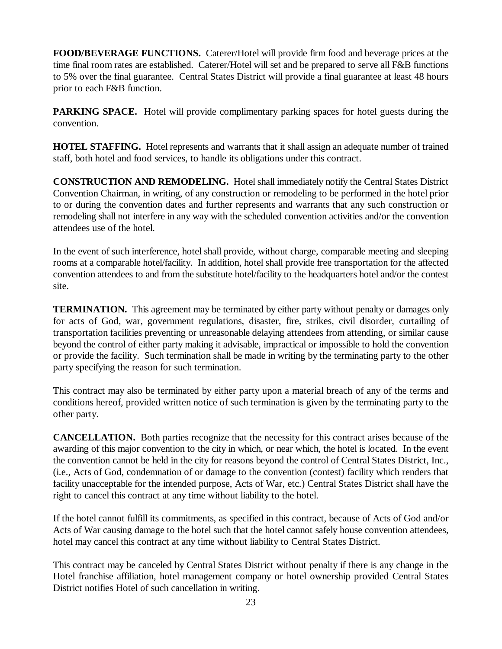**FOOD/BEVERAGE FUNCTIONS.** Caterer/Hotel will provide firm food and beverage prices at the time final room rates are established. Caterer/Hotel will set and be prepared to serve all F&B functions to 5% over the final guarantee. Central States District will provide a final guarantee at least 48 hours prior to each F&B function.

**PARKING SPACE.** Hotel will provide complimentary parking spaces for hotel guests during the convention.

**HOTEL STAFFING.** Hotel represents and warrants that it shall assign an adequate number of trained staff, both hotel and food services, to handle its obligations under this contract.

**CONSTRUCTION AND REMODELING.** Hotel shall immediately notify the Central States District Convention Chairman, in writing, of any construction or remodeling to be performed in the hotel prior to or during the convention dates and further represents and warrants that any such construction or remodeling shall not interfere in any way with the scheduled convention activities and/or the convention attendees use of the hotel.

In the event of such interference, hotel shall provide, without charge, comparable meeting and sleeping rooms at a comparable hotel/facility. In addition, hotel shall provide free transportation for the affected convention attendees to and from the substitute hotel/facility to the headquarters hotel and/or the contest site.

**TERMINATION.** This agreement may be terminated by either party without penalty or damages only for acts of God, war, government regulations, disaster, fire, strikes, civil disorder, curtailing of transportation facilities preventing or unreasonable delaying attendees from attending, or similar cause beyond the control of either party making it advisable, impractical or impossible to hold the convention or provide the facility. Such termination shall be made in writing by the terminating party to the other party specifying the reason for such termination.

This contract may also be terminated by either party upon a material breach of any of the terms and conditions hereof, provided written notice of such termination is given by the terminating party to the other party.

**CANCELLATION.** Both parties recognize that the necessity for this contract arises because of the awarding of this major convention to the city in which, or near which, the hotel is located. In the event the convention cannot be held in the city for reasons beyond the control of Central States District, Inc., (i.e., Acts of God, condemnation of or damage to the convention (contest) facility which renders that facility unacceptable for the intended purpose, Acts of War, etc.) Central States District shall have the right to cancel this contract at any time without liability to the hotel.

If the hotel cannot fulfill its commitments, as specified in this contract, because of Acts of God and/or Acts of War causing damage to the hotel such that the hotel cannot safely house convention attendees, hotel may cancel this contract at any time without liability to Central States District.

This contract may be canceled by Central States District without penalty if there is any change in the Hotel franchise affiliation, hotel management company or hotel ownership provided Central States District notifies Hotel of such cancellation in writing.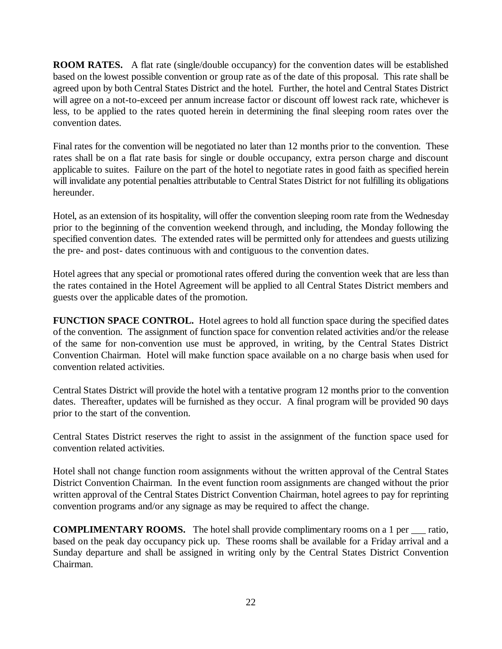**ROOM RATES.** A flat rate (single/double occupancy) for the convention dates will be established based on the lowest possible convention or group rate as of the date of this proposal. This rate shall be agreed upon by both Central States District and the hotel. Further, the hotel and Central States District will agree on a not-to-exceed per annum increase factor or discount off lowest rack rate, whichever is less, to be applied to the rates quoted herein in determining the final sleeping room rates over the convention dates.

Final rates for the convention will be negotiated no later than 12 months prior to the convention. These rates shall be on a flat rate basis for single or double occupancy, extra person charge and discount applicable to suites. Failure on the part of the hotel to negotiate rates in good faith as specified herein will invalidate any potential penalties attributable to Central States District for not fulfilling its obligations hereunder.

Hotel, as an extension of its hospitality, will offer the convention sleeping room rate from the Wednesday prior to the beginning of the convention weekend through, and including, the Monday following the specified convention dates. The extended rates will be permitted only for attendees and guests utilizing the pre- and post- dates continuous with and contiguous to the convention dates.

Hotel agrees that any special or promotional rates offered during the convention week that are less than the rates contained in the Hotel Agreement will be applied to all Central States District members and guests over the applicable dates of the promotion.

**FUNCTION SPACE CONTROL.** Hotel agrees to hold all function space during the specified dates of the convention. The assignment of function space for convention related activities and/or the release of the same for non-convention use must be approved, in writing, by the Central States District Convention Chairman. Hotel will make function space available on a no charge basis when used for convention related activities.

Central States District will provide the hotel with a tentative program 12 months prior to the convention dates. Thereafter, updates will be furnished as they occur. A final program will be provided 90 days prior to the start of the convention.

Central States District reserves the right to assist in the assignment of the function space used for convention related activities.

Hotel shall not change function room assignments without the written approval of the Central States District Convention Chairman. In the event function room assignments are changed without the prior written approval of the Central States District Convention Chairman, hotel agrees to pay for reprinting convention programs and/or any signage as may be required to affect the change.

**COMPLIMENTARY ROOMS.** The hotel shall provide complimentary rooms on a 1 per atio, based on the peak day occupancy pick up. These rooms shall be available for a Friday arrival and a Sunday departure and shall be assigned in writing only by the Central States District Convention Chairman.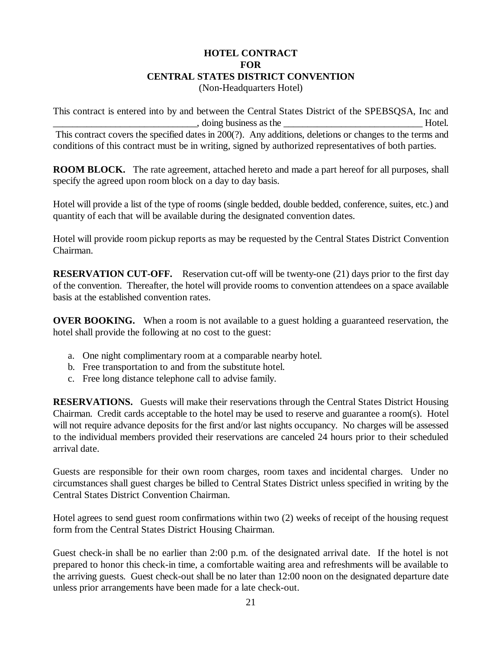#### **HOTEL CONTRACT FOR CENTRAL STATES DISTRICT CONVENTION** (Non-Headquarters Hotel)

This contract is entered into by and between the Central States District of the SPEBSQSA, Inc and doing business as the Hotel. This contract covers the specified dates in 200(?). Any additions, deletions or changes to the terms and conditions of this contract must be in writing, signed by authorized representatives of both parties.

**ROOM BLOCK.** The rate agreement, attached hereto and made a part hereof for all purposes, shall specify the agreed upon room block on a day to day basis.

Hotel will provide a list of the type of rooms (single bedded, double bedded, conference, suites, etc.) and quantity of each that will be available during the designated convention dates.

Hotel will provide room pickup reports as may be requested by the Central States District Convention Chairman.

**RESERVATION CUT-OFF.** Reservation cut-off will be twenty-one (21) days prior to the first day of the convention. Thereafter, the hotel will provide rooms to convention attendees on a space available basis at the established convention rates.

**OVER BOOKING.** When a room is not available to a guest holding a guaranteed reservation, the hotel shall provide the following at no cost to the guest:

- a. One night complimentary room at a comparable nearby hotel.
- b. Free transportation to and from the substitute hotel.
- c. Free long distance telephone call to advise family.

**RESERVATIONS.** Guests will make their reservations through the Central States District Housing Chairman. Credit cards acceptable to the hotel may be used to reserve and guarantee a room(s). Hotel will not require advance deposits for the first and/or last nights occupancy. No charges will be assessed to the individual members provided their reservations are canceled 24 hours prior to their scheduled arrival date.

Guests are responsible for their own room charges, room taxes and incidental charges. Under no circumstances shall guest charges be billed to Central States District unless specified in writing by the Central States District Convention Chairman.

Hotel agrees to send guest room confirmations within two (2) weeks of receipt of the housing request form from the Central States District Housing Chairman.

Guest check-in shall be no earlier than 2:00 p.m. of the designated arrival date. If the hotel is not prepared to honor this check-in time, a comfortable waiting area and refreshments will be available to the arriving guests. Guest check-out shall be no later than 12:00 noon on the designated departure date unless prior arrangements have been made for a late check-out.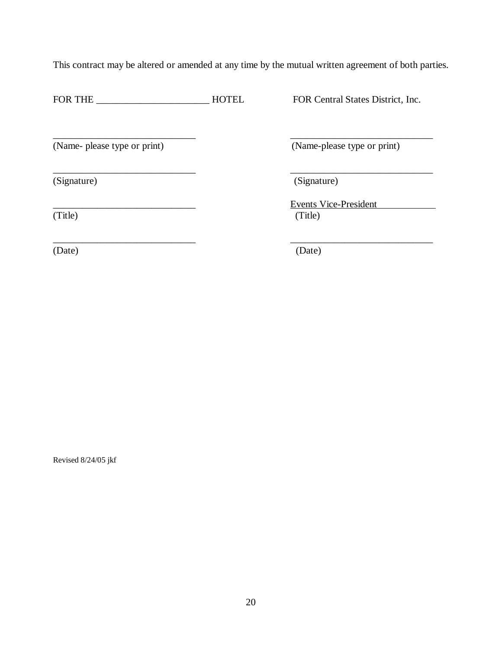This contract may be altered or amended at any time by the mutual written agreement of both parties.

\_\_\_\_\_\_\_\_\_\_\_\_\_\_\_\_\_\_\_\_\_\_\_\_\_\_\_\_\_ \_\_\_\_\_\_\_\_\_\_\_\_\_\_\_\_\_\_\_\_\_\_\_\_\_\_\_\_\_

\_\_\_\_\_\_\_\_\_\_\_\_\_\_\_\_\_\_\_\_\_\_\_\_\_\_\_\_\_ \_\_\_\_\_\_\_\_\_\_\_\_\_\_\_\_\_\_\_\_\_\_\_\_\_\_\_\_\_

\_\_\_\_\_\_\_\_\_\_\_\_\_\_\_\_\_\_\_\_\_\_\_\_\_\_\_\_\_ \_\_\_\_\_\_\_\_\_\_\_\_\_\_\_\_\_\_\_\_\_\_\_\_\_\_\_\_\_

FOR THE HOTEL FOR Central States District, Inc.

(Name- please type or print) (Name-please type or print)

(Signature) (Signature)

Events Vice-President (Title) (Title)

(Date) (Date)

Revised 8/24/05 jkf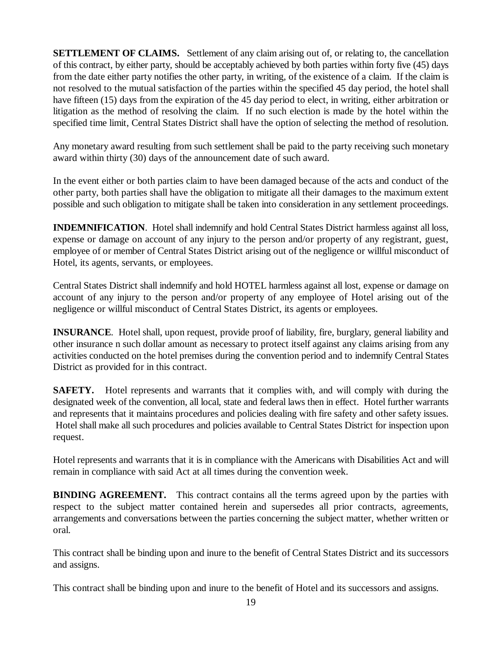**SETTLEMENT OF CLAIMS.** Settlement of any claim arising out of, or relating to, the cancellation of this contract, by either party, should be acceptably achieved by both parties within forty five (45) days from the date either party notifies the other party, in writing, of the existence of a claim. If the claim is not resolved to the mutual satisfaction of the parties within the specified 45 day period, the hotel shall have fifteen (15) days from the expiration of the 45 day period to elect, in writing, either arbitration or litigation as the method of resolving the claim. If no such election is made by the hotel within the specified time limit, Central States District shall have the option of selecting the method of resolution.

Any monetary award resulting from such settlement shall be paid to the party receiving such monetary award within thirty (30) days of the announcement date of such award.

In the event either or both parties claim to have been damaged because of the acts and conduct of the other party, both parties shall have the obligation to mitigate all their damages to the maximum extent possible and such obligation to mitigate shall be taken into consideration in any settlement proceedings.

**INDEMNIFICATION**. Hotel shall indemnify and hold Central States District harmless against all loss, expense or damage on account of any injury to the person and/or property of any registrant, guest, employee of or member of Central States District arising out of the negligence or willful misconduct of Hotel, its agents, servants, or employees.

Central States District shall indemnify and hold HOTEL harmless against all lost, expense or damage on account of any injury to the person and/or property of any employee of Hotel arising out of the negligence or willful misconduct of Central States District, its agents or employees.

**INSURANCE**. Hotel shall, upon request, provide proof of liability, fire, burglary, general liability and other insurance n such dollar amount as necessary to protect itself against any claims arising from any activities conducted on the hotel premises during the convention period and to indemnify Central States District as provided for in this contract.

**SAFETY.** Hotel represents and warrants that it complies with, and will comply with during the designated week of the convention, all local, state and federal laws then in effect. Hotel further warrants and represents that it maintains procedures and policies dealing with fire safety and other safety issues. Hotel shall make all such procedures and policies available to Central States District for inspection upon request.

Hotel represents and warrants that it is in compliance with the Americans with Disabilities Act and will remain in compliance with said Act at all times during the convention week.

**BINDING AGREEMENT.** This contract contains all the terms agreed upon by the parties with respect to the subject matter contained herein and supersedes all prior contracts, agreements, arrangements and conversations between the parties concerning the subject matter, whether written or oral.

This contract shall be binding upon and inure to the benefit of Central States District and its successors and assigns.

This contract shall be binding upon and inure to the benefit of Hotel and its successors and assigns.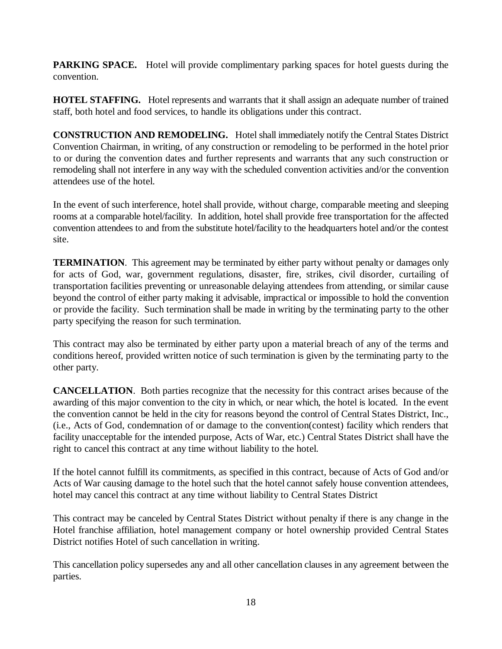**PARKING SPACE.** Hotel will provide complimentary parking spaces for hotel guests during the convention.

**HOTEL STAFFING.** Hotel represents and warrants that it shall assign an adequate number of trained staff, both hotel and food services, to handle its obligations under this contract.

**CONSTRUCTION AND REMODELING.** Hotel shall immediately notify the Central States District Convention Chairman, in writing, of any construction or remodeling to be performed in the hotel prior to or during the convention dates and further represents and warrants that any such construction or remodeling shall not interfere in any way with the scheduled convention activities and/or the convention attendees use of the hotel.

In the event of such interference, hotel shall provide, without charge, comparable meeting and sleeping rooms at a comparable hotel/facility. In addition, hotel shall provide free transportation for the affected convention attendees to and from the substitute hotel/facility to the headquarters hotel and/or the contest site.

**TERMINATION.** This agreement may be terminated by either party without penalty or damages only for acts of God, war, government regulations, disaster, fire, strikes, civil disorder, curtailing of transportation facilities preventing or unreasonable delaying attendees from attending, or similar cause beyond the control of either party making it advisable, impractical or impossible to hold the convention or provide the facility. Such termination shall be made in writing by the terminating party to the other party specifying the reason for such termination.

This contract may also be terminated by either party upon a material breach of any of the terms and conditions hereof, provided written notice of such termination is given by the terminating party to the other party.

**CANCELLATION**. Both parties recognize that the necessity for this contract arises because of the awarding of this major convention to the city in which, or near which, the hotel is located. In the event the convention cannot be held in the city for reasons beyond the control of Central States District, Inc., (i.e., Acts of God, condemnation of or damage to the convention(contest) facility which renders that facility unacceptable for the intended purpose, Acts of War, etc.) Central States District shall have the right to cancel this contract at any time without liability to the hotel.

If the hotel cannot fulfill its commitments, as specified in this contract, because of Acts of God and/or Acts of War causing damage to the hotel such that the hotel cannot safely house convention attendees, hotel may cancel this contract at any time without liability to Central States District

This contract may be canceled by Central States District without penalty if there is any change in the Hotel franchise affiliation, hotel management company or hotel ownership provided Central States District notifies Hotel of such cancellation in writing.

This cancellation policy supersedes any and all other cancellation clauses in any agreement between the parties.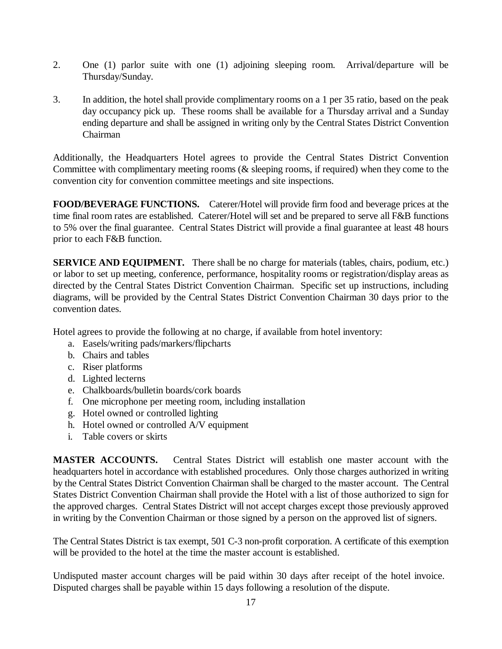- 2. One (1) parlor suite with one (1) adjoining sleeping room. Arrival/departure will be Thursday/Sunday.
- 3. In addition, the hotel shall provide complimentary rooms on a 1 per 35 ratio, based on the peak day occupancy pick up. These rooms shall be available for a Thursday arrival and a Sunday ending departure and shall be assigned in writing only by the Central States District Convention Chairman

Additionally, the Headquarters Hotel agrees to provide the Central States District Convention Committee with complimentary meeting rooms (& sleeping rooms, if required) when they come to the convention city for convention committee meetings and site inspections.

**FOOD/BEVERAGE FUNCTIONS.** Caterer/Hotel will provide firm food and beverage prices at the time final room rates are established. Caterer/Hotel will set and be prepared to serve all F&B functions to 5% over the final guarantee. Central States District will provide a final guarantee at least 48 hours prior to each F&B function.

**SERVICE AND EQUIPMENT.** There shall be no charge for materials (tables, chairs, podium, etc.) or labor to set up meeting, conference, performance, hospitality rooms or registration/display areas as directed by the Central States District Convention Chairman. Specific set up instructions, including diagrams, will be provided by the Central States District Convention Chairman 30 days prior to the convention dates.

Hotel agrees to provide the following at no charge, if available from hotel inventory:

- a. Easels/writing pads/markers/flipcharts
- b. Chairs and tables
- c. Riser platforms
- d. Lighted lecterns
- e. Chalkboards/bulletin boards/cork boards
- f. One microphone per meeting room, including installation
- g. Hotel owned or controlled lighting
- h. Hotel owned or controlled A/V equipment
- i. Table covers or skirts

**MASTER ACCOUNTS.** Central States District will establish one master account with the headquarters hotel in accordance with established procedures. Only those charges authorized in writing by the Central States District Convention Chairman shall be charged to the master account. The Central States District Convention Chairman shall provide the Hotel with a list of those authorized to sign for the approved charges. Central States District will not accept charges except those previously approved in writing by the Convention Chairman or those signed by a person on the approved list of signers.

The Central States District is tax exempt, 501 C-3 non-profit corporation. A certificate of this exemption will be provided to the hotel at the time the master account is established.

Undisputed master account charges will be paid within 30 days after receipt of the hotel invoice. Disputed charges shall be payable within 15 days following a resolution of the dispute.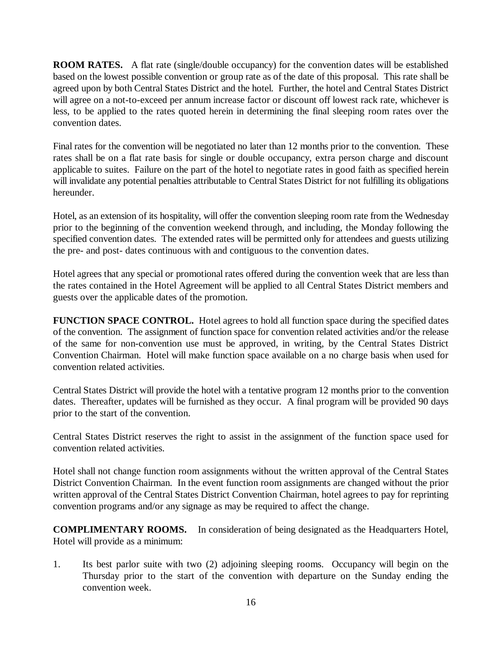**ROOM RATES.** A flat rate (single/double occupancy) for the convention dates will be established based on the lowest possible convention or group rate as of the date of this proposal. This rate shall be agreed upon by both Central States District and the hotel. Further, the hotel and Central States District will agree on a not-to-exceed per annum increase factor or discount off lowest rack rate, whichever is less, to be applied to the rates quoted herein in determining the final sleeping room rates over the convention dates.

Final rates for the convention will be negotiated no later than 12 months prior to the convention. These rates shall be on a flat rate basis for single or double occupancy, extra person charge and discount applicable to suites. Failure on the part of the hotel to negotiate rates in good faith as specified herein will invalidate any potential penalties attributable to Central States District for not fulfilling its obligations hereunder.

Hotel, as an extension of its hospitality, will offer the convention sleeping room rate from the Wednesday prior to the beginning of the convention weekend through, and including, the Monday following the specified convention dates. The extended rates will be permitted only for attendees and guests utilizing the pre- and post- dates continuous with and contiguous to the convention dates.

Hotel agrees that any special or promotional rates offered during the convention week that are less than the rates contained in the Hotel Agreement will be applied to all Central States District members and guests over the applicable dates of the promotion.

**FUNCTION SPACE CONTROL.** Hotel agrees to hold all function space during the specified dates of the convention. The assignment of function space for convention related activities and/or the release of the same for non-convention use must be approved, in writing, by the Central States District Convention Chairman. Hotel will make function space available on a no charge basis when used for convention related activities.

Central States District will provide the hotel with a tentative program 12 months prior to the convention dates. Thereafter, updates will be furnished as they occur. A final program will be provided 90 days prior to the start of the convention.

Central States District reserves the right to assist in the assignment of the function space used for convention related activities.

Hotel shall not change function room assignments without the written approval of the Central States District Convention Chairman. In the event function room assignments are changed without the prior written approval of the Central States District Convention Chairman, hotel agrees to pay for reprinting convention programs and/or any signage as may be required to affect the change.

**COMPLIMENTARY ROOMS.** In consideration of being designated as the Headquarters Hotel, Hotel will provide as a minimum:

1. Its best parlor suite with two (2) adjoining sleeping rooms. Occupancy will begin on the Thursday prior to the start of the convention with departure on the Sunday ending the convention week.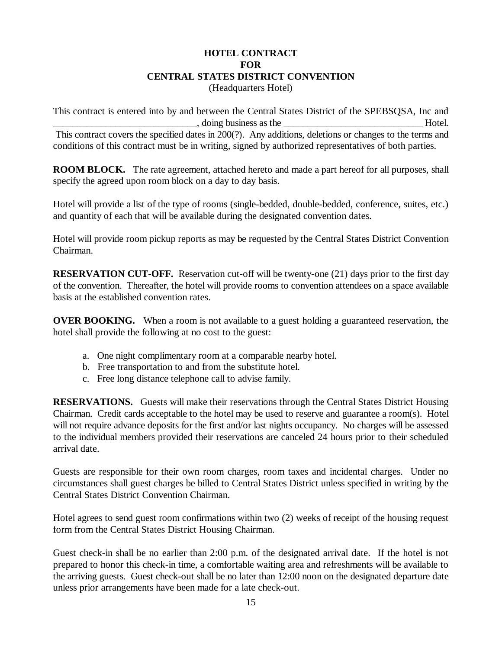#### **HOTEL CONTRACT FOR CENTRAL STATES DISTRICT CONVENTION** (Headquarters Hotel)

This contract is entered into by and between the Central States District of the SPEBSQSA, Inc and doing business as the Hotel. This contract covers the specified dates in 200(?). Any additions, deletions or changes to the terms and conditions of this contract must be in writing, signed by authorized representatives of both parties.

**ROOM BLOCK.** The rate agreement, attached hereto and made a part hereof for all purposes, shall specify the agreed upon room block on a day to day basis.

Hotel will provide a list of the type of rooms (single-bedded, double-bedded, conference, suites, etc.) and quantity of each that will be available during the designated convention dates.

Hotel will provide room pickup reports as may be requested by the Central States District Convention Chairman.

**RESERVATION CUT-OFF.** Reservation cut-off will be twenty-one (21) days prior to the first day of the convention. Thereafter, the hotel will provide rooms to convention attendees on a space available basis at the established convention rates.

**OVER BOOKING.** When a room is not available to a guest holding a guaranteed reservation, the hotel shall provide the following at no cost to the guest:

- a. One night complimentary room at a comparable nearby hotel.
- b. Free transportation to and from the substitute hotel.
- c. Free long distance telephone call to advise family.

**RESERVATIONS.** Guests will make their reservations through the Central States District Housing Chairman. Credit cards acceptable to the hotel may be used to reserve and guarantee a room(s). Hotel will not require advance deposits for the first and/or last nights occupancy. No charges will be assessed to the individual members provided their reservations are canceled 24 hours prior to their scheduled arrival date.

Guests are responsible for their own room charges, room taxes and incidental charges. Under no circumstances shall guest charges be billed to Central States District unless specified in writing by the Central States District Convention Chairman.

Hotel agrees to send guest room confirmations within two (2) weeks of receipt of the housing request form from the Central States District Housing Chairman.

Guest check-in shall be no earlier than 2:00 p.m. of the designated arrival date. If the hotel is not prepared to honor this check-in time, a comfortable waiting area and refreshments will be available to the arriving guests. Guest check-out shall be no later than 12:00 noon on the designated departure date unless prior arrangements have been made for a late check-out.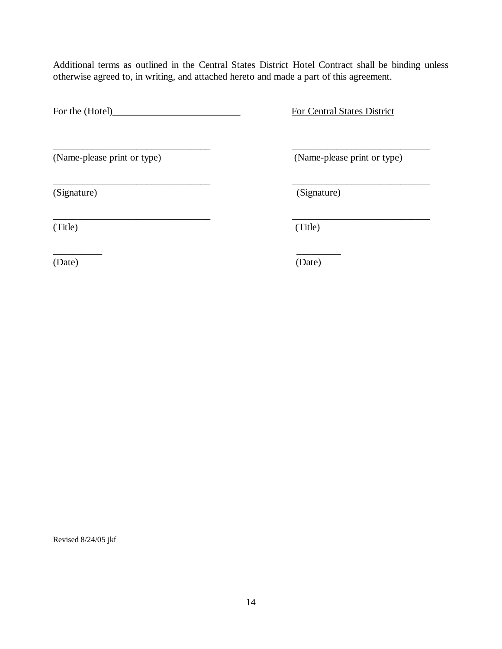Additional terms as outlined in the Central States District Hotel Contract shall be binding unless otherwise agreed to, in writing, and attached hereto and made a part of this agreement.

\_\_\_\_\_\_\_\_\_\_\_\_\_\_\_\_\_\_\_\_\_\_\_\_\_\_\_\_\_\_\_\_ \_\_\_\_\_\_\_\_\_\_\_\_\_\_\_\_\_\_\_\_\_\_\_\_\_\_\_\_

\_\_\_\_\_\_\_\_\_\_\_\_\_\_\_\_\_\_\_\_\_\_\_\_\_\_\_\_\_\_\_\_ \_\_\_\_\_\_\_\_\_\_\_\_\_\_\_\_\_\_\_\_\_\_\_\_\_\_\_\_

For the (Hotel)\_\_\_\_\_\_\_\_\_\_\_\_\_\_\_\_\_\_\_\_\_\_\_\_\_\_ For Central States District

(Name-please print or type) (Name-please print or type)

\_\_\_\_\_\_\_\_\_\_\_\_\_\_\_\_\_\_\_\_\_\_\_\_\_\_\_\_\_\_\_\_ \_\_\_\_\_\_\_\_\_\_\_\_\_\_\_\_\_\_\_\_\_\_\_\_\_\_\_\_ (Signature) (Signature)

(Title) (Title)

 $\overline{\phantom{a}}$  , and the contract of the contract of the contract of the contract of the contract of the contract of the contract of the contract of the contract of the contract of the contract of the contract of the contrac (Date) (Date)

Revised 8/24/05 jkf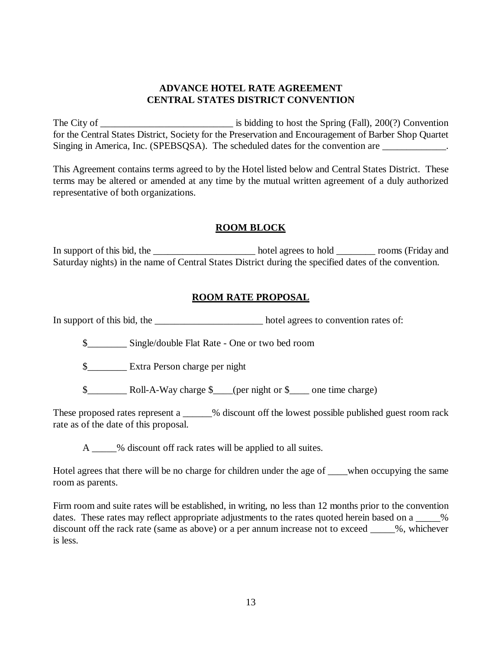#### **ADVANCE HOTEL RATE AGREEMENT CENTRAL STATES DISTRICT CONVENTION**

The City of \_\_\_\_\_\_\_\_\_\_\_\_\_\_\_\_\_\_\_\_\_\_\_\_\_\_\_ is bidding to host the Spring (Fall), 200(?) Convention for the Central States District, Society for the Preservation and Encouragement of Barber Shop Quartet Singing in America, Inc. (SPEBSOSA). The scheduled dates for the convention are  $\blacksquare$ .

This Agreement contains terms agreed to by the Hotel listed below and Central States District. These terms may be altered or amended at any time by the mutual written agreement of a duly authorized representative of both organizations.

#### **ROOM BLOCK**

In support of this bid, the hotel agrees to hold \_\_\_\_\_\_\_\_\_\_ rooms (Friday and Saturday nights) in the name of Central States District during the specified dates of the convention.

#### **ROOM RATE PROPOSAL**

In support of this bid, the \_\_\_\_\_\_\_\_\_\_\_\_\_\_\_\_\_\_\_\_\_\_\_\_\_\_\_\_\_\_\_\_\_ hotel agrees to convention rates of:

\$\_\_\_\_\_\_\_\_ Single/double Flat Rate - One or two bed room

\$\_\_\_\_\_\_\_\_ Extra Person charge per night

\$\_\_\_\_\_\_\_\_ Roll-A-Way charge \$\_\_\_\_(per night or \$\_\_\_\_ one time charge)

These proposed rates represent a \_\_\_\_\_% discount off the lowest possible published guest room rack rate as of the date of this proposal.

A  $\sim$  % discount off rack rates will be applied to all suites.

Hotel agrees that there will be no charge for children under the age of \_\_\_\_when occupying the same room as parents.

Firm room and suite rates will be established, in writing, no less than 12 months prior to the convention dates. These rates may reflect appropriate adjustments to the rates quoted herein based on a \_\_\_\_\_\_% discount off the rack rate (same as above) or a per annum increase not to exceed \_\_\_\_\_%, whichever is less.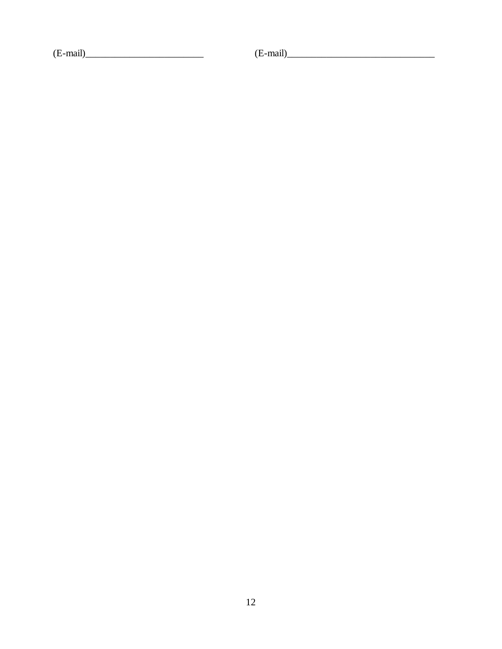$(E-mail)$ 

 $(E-mail)$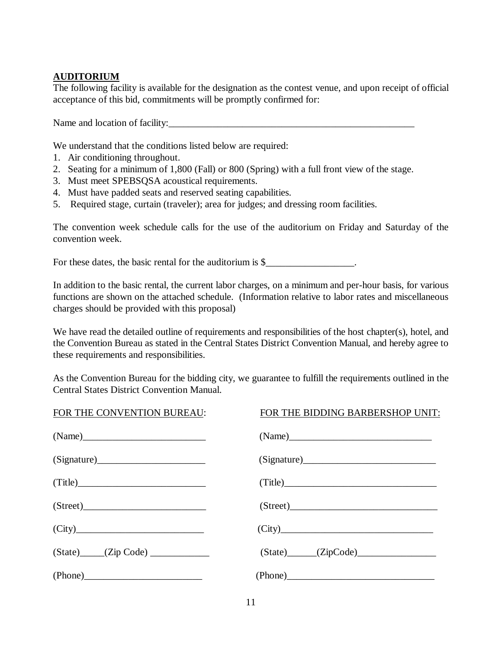### **AUDITORIUM**

The following facility is available for the designation as the contest venue, and upon receipt of official acceptance of this bid, commitments will be promptly confirmed for:

Name and location of facility:

We understand that the conditions listed below are required:

- 1. Air conditioning throughout.
- 2. Seating for a minimum of 1,800 (Fall) or 800 (Spring) with a full front view of the stage.
- 3. Must meet SPEBSQSA acoustical requirements.
- 4. Must have padded seats and reserved seating capabilities.
- 5. Required stage, curtain (traveler); area for judges; and dressing room facilities.

The convention week schedule calls for the use of the auditorium on Friday and Saturday of the convention week.

For these dates, the basic rental for the auditorium is \$\_\_\_\_\_\_\_\_\_\_\_\_\_\_\_\_\_.

In addition to the basic rental, the current labor charges, on a minimum and per-hour basis, for various functions are shown on the attached schedule. (Information relative to labor rates and miscellaneous charges should be provided with this proposal)

We have read the detailed outline of requirements and responsibilities of the host chapter(s), hotel, and the Convention Bureau as stated in the Central States District Convention Manual, and hereby agree to these requirements and responsibilities.

As the Convention Bureau for the bidding city, we guarantee to fulfill the requirements outlined in the Central States District Convention Manual.

| FOR THE CONVENTION BUREAU:    | FOR THE BIDDING BARBERSHOP UNIT: |  |  |
|-------------------------------|----------------------------------|--|--|
|                               |                                  |  |  |
| (Signature)                   | (Signature)                      |  |  |
| (Title)                       | (Title)                          |  |  |
| (Street)                      | (Street)                         |  |  |
| (City)                        | (City)                           |  |  |
| $(State)$ $(Zip Code)$ $\_\_$ | $(State)$ $(ZipCode)$            |  |  |
|                               |                                  |  |  |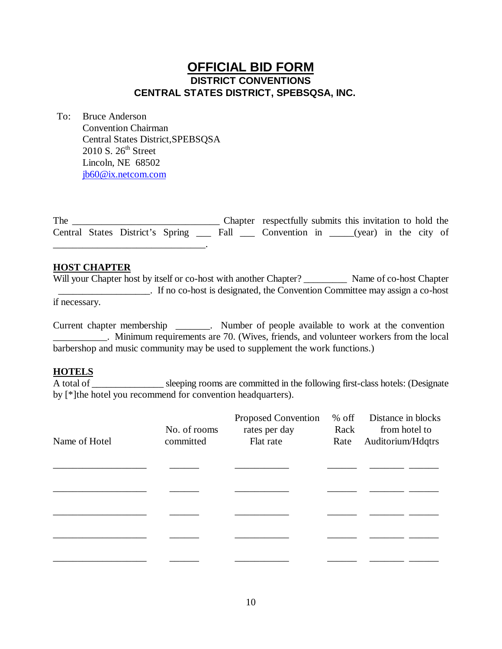# **OFFICIAL BID FORM DISTRICT CONVENTIONS CENTRAL STATES DISTRICT, SPEBSQSA, INC.**

To: Bruce Anderson Convention Chairman Central States District,SPEBSQSA  $2010$  S.  $26<sup>th</sup>$  Street Lincoln, NE 68502 jb60@ix.netcom.com

The \_\_\_\_\_\_\_\_\_\_\_\_\_\_\_\_\_\_\_\_\_\_\_\_\_\_\_\_\_\_ Chapter respectfully submits this invitation to hold the Central States District's Spring \_\_\_ Fall \_\_\_ Convention in \_\_\_\_\_(year) in the city of \_\_\_\_\_\_\_\_\_\_\_\_\_\_\_\_\_\_\_\_\_\_\_\_\_\_\_\_\_\_\_.

#### **HOST CHAPTER**

Will your Chapter host by itself or co-host with another Chapter? \_\_\_\_\_\_\_\_\_\_\_\_ Name of co-host Chapter \_\_\_\_\_\_\_\_\_\_\_\_\_\_\_\_\_\_\_. If no co-host is designated, the Convention Committee may assign a co-host if necessary.

Current chapter membership \_\_\_\_\_\_\_. Number of people available to work at the convention \_\_\_\_\_\_\_\_\_\_\_. Minimum requirements are 70. (Wives, friends, and volunteer workers from the local barbershop and music community may be used to supplement the work functions.)

#### **HOTELS**

 $\overline{A}$  total of sleeping rooms are committed in the following first-class hotels: (Designate by [\*]the hotel you recommend for convention headquarters).

| Name of Hotel | No. of rooms<br>committed | Proposed Convention<br>rates per day<br>Flat rate | $%$ off<br>Rack<br>Rate | Distance in blocks<br>from hotel to<br>Auditorium/Hdqtrs |  |
|---------------|---------------------------|---------------------------------------------------|-------------------------|----------------------------------------------------------|--|
|               |                           |                                                   |                         |                                                          |  |
|               |                           |                                                   |                         |                                                          |  |
|               |                           |                                                   |                         |                                                          |  |
|               |                           |                                                   |                         |                                                          |  |
|               |                           |                                                   |                         |                                                          |  |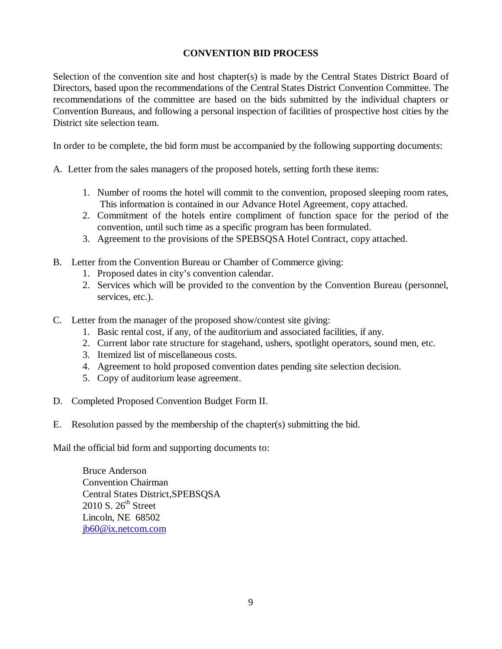#### **CONVENTION BID PROCESS**

Selection of the convention site and host chapter(s) is made by the Central States District Board of Directors, based upon the recommendations of the Central States District Convention Committee. The recommendations of the committee are based on the bids submitted by the individual chapters or Convention Bureaus, and following a personal inspection of facilities of prospective host cities by the District site selection team.

In order to be complete, the bid form must be accompanied by the following supporting documents:

A. Letter from the sales managers of the proposed hotels, setting forth these items:

- 1. Number of rooms the hotel will commit to the convention, proposed sleeping room rates, This information is contained in our Advance Hotel Agreement, copy attached.
- 2. Commitment of the hotels entire compliment of function space for the period of the convention, until such time as a specific program has been formulated.
- 3. Agreement to the provisions of the SPEBSQSA Hotel Contract, copy attached.
- B. Letter from the Convention Bureau or Chamber of Commerce giving:
	- 1. Proposed dates in city's convention calendar.
	- 2. Services which will be provided to the convention by the Convention Bureau (personnel, services, etc.).
- C. Letter from the manager of the proposed show/contest site giving:
	- 1. Basic rental cost, if any, of the auditorium and associated facilities, if any.
	- 2. Current labor rate structure for stagehand, ushers, spotlight operators, sound men, etc.
	- 3. Itemized list of miscellaneous costs.
	- 4. Agreement to hold proposed convention dates pending site selection decision.
	- 5. Copy of auditorium lease agreement.
- D. Completed Proposed Convention Budget Form II.
- E. Resolution passed by the membership of the chapter(s) submitting the bid.

Mail the official bid form and supporting documents to:

Bruce Anderson Convention Chairman Central States District,SPEBSQSA  $2010$  S.  $26<sup>th</sup>$  Street Lincoln, NE 68502 jb60@ix.netcom.com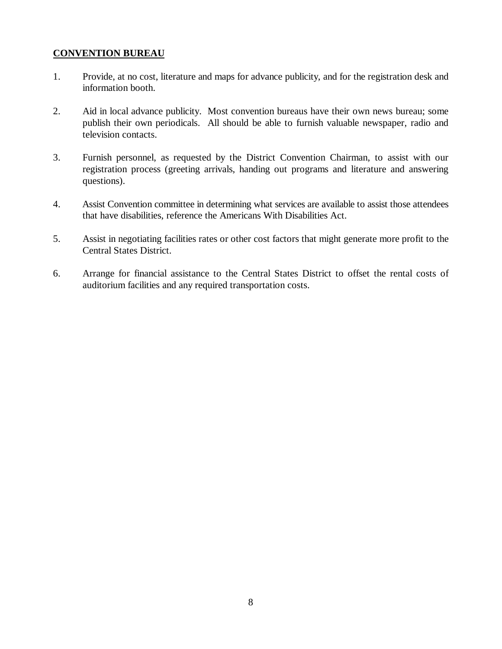#### **CONVENTION BUREAU**

- 1. Provide, at no cost, literature and maps for advance publicity, and for the registration desk and information booth.
- 2. Aid in local advance publicity. Most convention bureaus have their own news bureau; some publish their own periodicals. All should be able to furnish valuable newspaper, radio and television contacts.
- 3. Furnish personnel, as requested by the District Convention Chairman, to assist with our registration process (greeting arrivals, handing out programs and literature and answering questions).
- 4. Assist Convention committee in determining what services are available to assist those attendees that have disabilities, reference the Americans With Disabilities Act.
- 5. Assist in negotiating facilities rates or other cost factors that might generate more profit to the Central States District.
- 6. Arrange for financial assistance to the Central States District to offset the rental costs of auditorium facilities and any required transportation costs.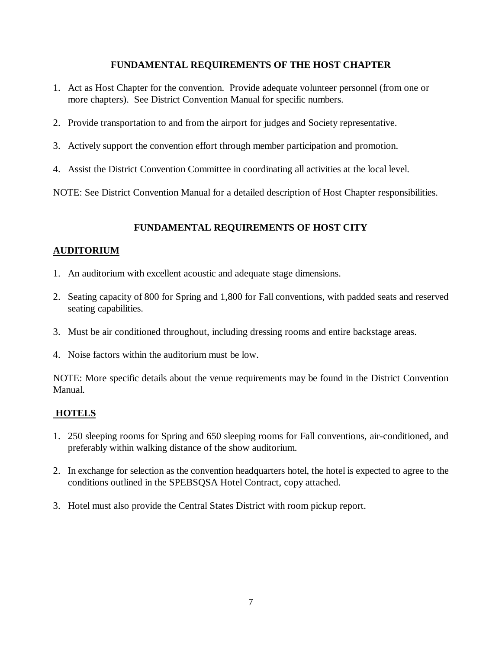#### **FUNDAMENTAL REQUIREMENTS OF THE HOST CHAPTER**

- 1. Act as Host Chapter for the convention. Provide adequate volunteer personnel (from one or more chapters). See District Convention Manual for specific numbers.
- 2. Provide transportation to and from the airport for judges and Society representative.
- 3. Actively support the convention effort through member participation and promotion.
- 4. Assist the District Convention Committee in coordinating all activities at the local level.

NOTE: See District Convention Manual for a detailed description of Host Chapter responsibilities.

#### **FUNDAMENTAL REQUIREMENTS OF HOST CITY**

#### **AUDITORIUM**

- 1. An auditorium with excellent acoustic and adequate stage dimensions.
- 2. Seating capacity of 800 for Spring and 1,800 for Fall conventions, with padded seats and reserved seating capabilities.
- 3. Must be air conditioned throughout, including dressing rooms and entire backstage areas.
- 4. Noise factors within the auditorium must be low.

NOTE: More specific details about the venue requirements may be found in the District Convention Manual.

#### **HOTELS**

- 1. 250 sleeping rooms for Spring and 650 sleeping rooms for Fall conventions, air-conditioned, and preferably within walking distance of the show auditorium.
- 2. In exchange for selection as the convention headquarters hotel, the hotel is expected to agree to the conditions outlined in the SPEBSQSA Hotel Contract, copy attached.
- 3. Hotel must also provide the Central States District with room pickup report.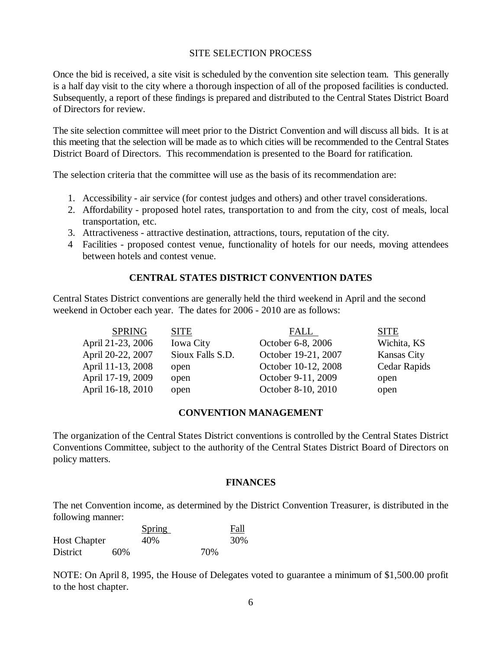#### SITE SELECTION PROCESS

Once the bid is received, a site visit is scheduled by the convention site selection team. This generally is a half day visit to the city where a thorough inspection of all of the proposed facilities is conducted. Subsequently, a report of these findings is prepared and distributed to the Central States District Board of Directors for review.

The site selection committee will meet prior to the District Convention and will discuss all bids. It is at this meeting that the selection will be made as to which cities will be recommended to the Central States District Board of Directors. This recommendation is presented to the Board for ratification.

The selection criteria that the committee will use as the basis of its recommendation are:

- 1. Accessibility air service (for contest judges and others) and other travel considerations.
- 2. Affordability proposed hotel rates, transportation to and from the city, cost of meals, local transportation, etc.
- 3. Attractiveness attractive destination, attractions, tours, reputation of the city.
- 4 Facilities proposed contest venue, functionality of hotels for our needs, moving attendees between hotels and contest venue.

#### **CENTRAL STATES DISTRICT CONVENTION DATES**

Central States District conventions are generally held the third weekend in April and the second weekend in October each year. The dates for 2006 - 2010 are as follows:

| <b>SPRING</b>     | <b>SITE</b>      | FALL                | <b>SITE</b>        |
|-------------------|------------------|---------------------|--------------------|
| April 21-23, 2006 | <b>Iowa City</b> | October 6-8, 2006   | Wichita, KS        |
| April 20-22, 2007 | Sioux Falls S.D. | October 19-21, 2007 | <b>Kansas City</b> |
| April 11-13, 2008 | open             | October 10-12, 2008 | Cedar Rapids       |
| April 17-19, 2009 | open             | October 9-11, 2009  | open               |
| April 16-18, 2010 | open             | October 8-10, 2010  | open               |
|                   |                  |                     |                    |

#### **CONVENTION MANAGEMENT**

The organization of the Central States District conventions is controlled by the Central States District Conventions Committee, subject to the authority of the Central States District Board of Directors on policy matters.

#### **FINANCES**

The net Convention income, as determined by the District Convention Treasurer, is distributed in the following manner:

|                     |     | <b>Spring</b> |     | Fall |
|---------------------|-----|---------------|-----|------|
| <b>Host Chapter</b> |     | 40%           |     | 30%  |
| District            | 60% |               | 70% |      |

NOTE: On April 8, 1995, the House of Delegates voted to guarantee a minimum of \$1,500.00 profit to the host chapter.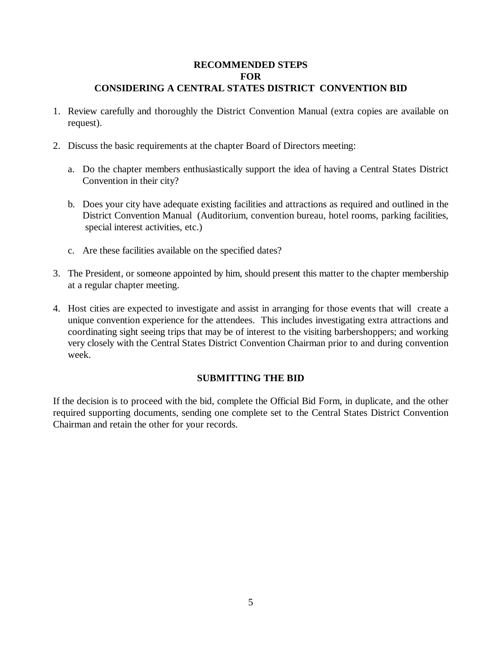#### **RECOMMENDED STEPS FOR CONSIDERING A CENTRAL STATES DISTRICT CONVENTION BID**

- 1. Review carefully and thoroughly the District Convention Manual (extra copies are available on request).
- 2. Discuss the basic requirements at the chapter Board of Directors meeting:
	- a. Do the chapter members enthusiastically support the idea of having a Central States District Convention in their city?
	- b. Does your city have adequate existing facilities and attractions as required and outlined in the District Convention Manual (Auditorium, convention bureau, hotel rooms, parking facilities, special interest activities, etc.)
	- c. Are these facilities available on the specified dates?
- 3. The President, or someone appointed by him, should present this matter to the chapter membership at a regular chapter meeting.
- 4. Host cities are expected to investigate and assist in arranging for those events that will create a unique convention experience for the attendees. This includes investigating extra attractions and coordinating sight seeing trips that may be of interest to the visiting barbershoppers; and working very closely with the Central States District Convention Chairman prior to and during convention week.

#### **SUBMITTING THE BID**

If the decision is to proceed with the bid, complete the Official Bid Form, in duplicate, and the other required supporting documents, sending one complete set to the Central States District Convention Chairman and retain the other for your records.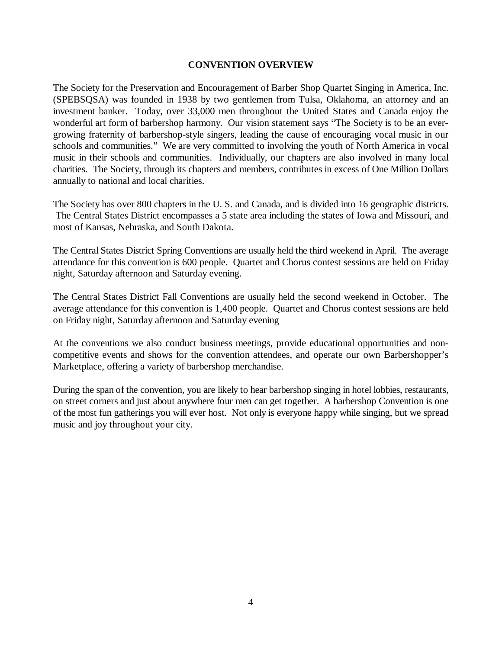#### **CONVENTION OVERVIEW**

The Society for the Preservation and Encouragement of Barber Shop Quartet Singing in America, Inc. (SPEBSQSA) was founded in 1938 by two gentlemen from Tulsa, Oklahoma, an attorney and an investment banker. Today, over 33,000 men throughout the United States and Canada enjoy the wonderful art form of barbershop harmony. Our vision statement says "The Society is to be an evergrowing fraternity of barbershop-style singers, leading the cause of encouraging vocal music in our schools and communities." We are very committed to involving the youth of North America in vocal music in their schools and communities. Individually, our chapters are also involved in many local charities. The Society, through its chapters and members, contributes in excess of One Million Dollars annually to national and local charities.

The Society has over 800 chapters in the U. S. and Canada, and is divided into 16 geographic districts. The Central States District encompasses a 5 state area including the states of Iowa and Missouri, and most of Kansas, Nebraska, and South Dakota.

The Central States District Spring Conventions are usually held the third weekend in April. The average attendance for this convention is 600 people. Quartet and Chorus contest sessions are held on Friday night, Saturday afternoon and Saturday evening.

The Central States District Fall Conventions are usually held the second weekend in October. The average attendance for this convention is 1,400 people. Quartet and Chorus contest sessions are held on Friday night, Saturday afternoon and Saturday evening

At the conventions we also conduct business meetings, provide educational opportunities and noncompetitive events and shows for the convention attendees, and operate our own Barbershopper's Marketplace, offering a variety of barbershop merchandise.

During the span of the convention, you are likely to hear barbershop singing in hotel lobbies, restaurants, on street corners and just about anywhere four men can get together. A barbershop Convention is one of the most fun gatherings you will ever host. Not only is everyone happy while singing, but we spread music and joy throughout your city.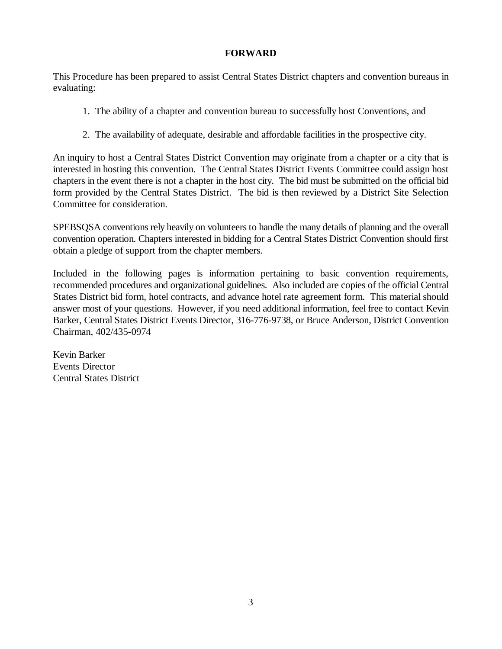#### **FORWARD**

This Procedure has been prepared to assist Central States District chapters and convention bureaus in evaluating:

- 1. The ability of a chapter and convention bureau to successfully host Conventions, and
- 2. The availability of adequate, desirable and affordable facilities in the prospective city.

An inquiry to host a Central States District Convention may originate from a chapter or a city that is interested in hosting this convention. The Central States District Events Committee could assign host chapters in the event there is not a chapter in the host city. The bid must be submitted on the official bid form provided by the Central States District. The bid is then reviewed by a District Site Selection Committee for consideration.

SPEBSQSA conventions rely heavily on volunteers to handle the many details of planning and the overall convention operation. Chapters interested in bidding for a Central States District Convention should first obtain a pledge of support from the chapter members.

Included in the following pages is information pertaining to basic convention requirements, recommended procedures and organizational guidelines. Also included are copies of the official Central States District bid form, hotel contracts, and advance hotel rate agreement form. This material should answer most of your questions. However, if you need additional information, feel free to contact Kevin Barker, Central States District Events Director, 316-776-9738, or Bruce Anderson, District Convention Chairman, 402/435-0974

Kevin Barker Events Director Central States District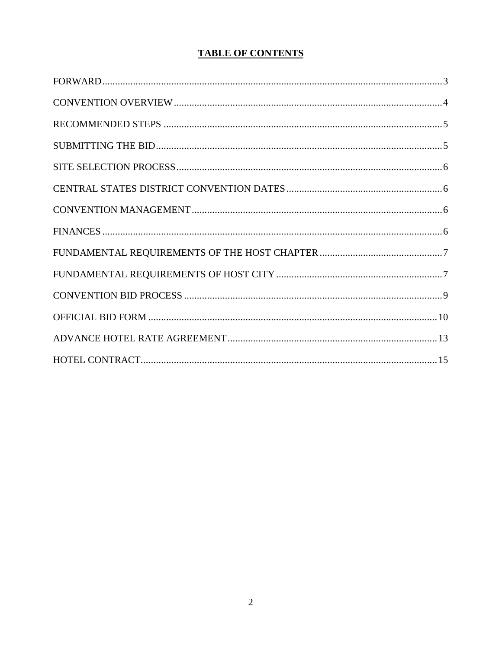## **TABLE OF CONTENTS**